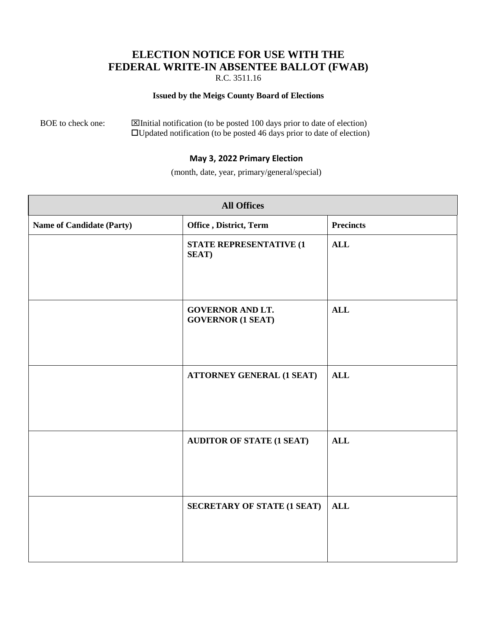## **ELECTION NOTICE FOR USE WITH THE FEDERAL WRITE-IN ABSENTEE BALLOT (FWAB)**

R.C. 3511.16

## **Issued by the Meigs County Board of Elections**

BOE to check one:  $\boxtimes$  Initial notification (to be posted 100 days prior to date of election) Updated notification (to be posted 46 days prior to date of election)

## **May 3, 2022 Primary Election**

(month, date, year, primary/general/special)

| <b>All Offices</b>               |                                                     |                  |  |  |
|----------------------------------|-----------------------------------------------------|------------------|--|--|
| <b>Name of Candidate (Party)</b> | Office, District, Term                              | <b>Precincts</b> |  |  |
|                                  | STATE REPRESENTATIVE (1<br><b>SEAT</b> )            | ALL              |  |  |
|                                  | <b>GOVERNOR AND LT.</b><br><b>GOVERNOR (1 SEAT)</b> | ALL              |  |  |
|                                  | <b>ATTORNEY GENERAL (1 SEAT)</b>                    | <b>ALL</b>       |  |  |
|                                  | <b>AUDITOR OF STATE (1 SEAT)</b>                    | <b>ALL</b>       |  |  |
|                                  | <b>SECRETARY OF STATE (1 SEAT)</b>                  | <b>ALL</b>       |  |  |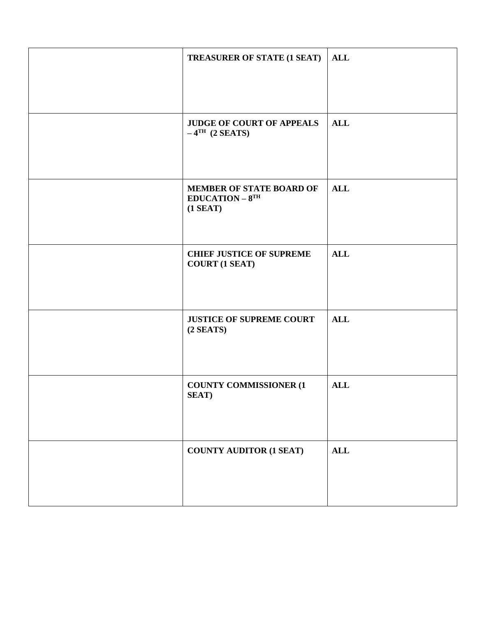| <b>TREASURER OF STATE (1 SEAT)</b>                                       | <b>ALL</b> |
|--------------------------------------------------------------------------|------------|
| <b>JUDGE OF COURT OF APPEALS</b><br>$-4$ <sup>TH</sup> (2 <b>SEATS</b> ) | <b>ALL</b> |
| MEMBER OF STATE BOARD OF<br>$EDUCATION - 8TH$<br>$(1$ SEAT)              | <b>ALL</b> |
| <b>CHIEF JUSTICE OF SUPREME</b><br><b>COURT (1 SEAT)</b>                 | <b>ALL</b> |
| <b>JUSTICE OF SUPREME COURT</b><br>$(2$ SEATS)                           | <b>ALL</b> |
| <b>COUNTY COMMISSIONER (1)</b><br><b>SEAT</b> )                          | <b>ALL</b> |
| <b>COUNTY AUDITOR (1 SEAT)</b>                                           | ALL        |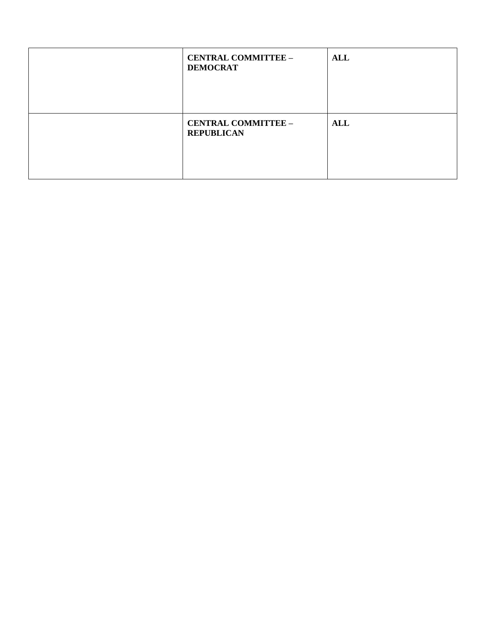| <b>CENTRAL COMMITTEE -</b><br><b>DEMOCRAT</b>   | <b>ALL</b> |
|-------------------------------------------------|------------|
| <b>CENTRAL COMMITTEE -</b><br><b>REPUBLICAN</b> | <b>ALL</b> |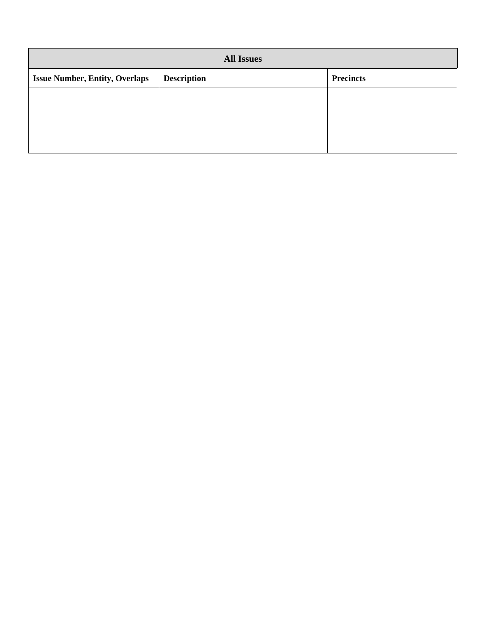| <b>All Issues</b>                     |                    |                  |  |  |
|---------------------------------------|--------------------|------------------|--|--|
| <b>Issue Number, Entity, Overlaps</b> | <b>Description</b> | <b>Precincts</b> |  |  |
|                                       |                    |                  |  |  |
|                                       |                    |                  |  |  |
|                                       |                    |                  |  |  |
|                                       |                    |                  |  |  |